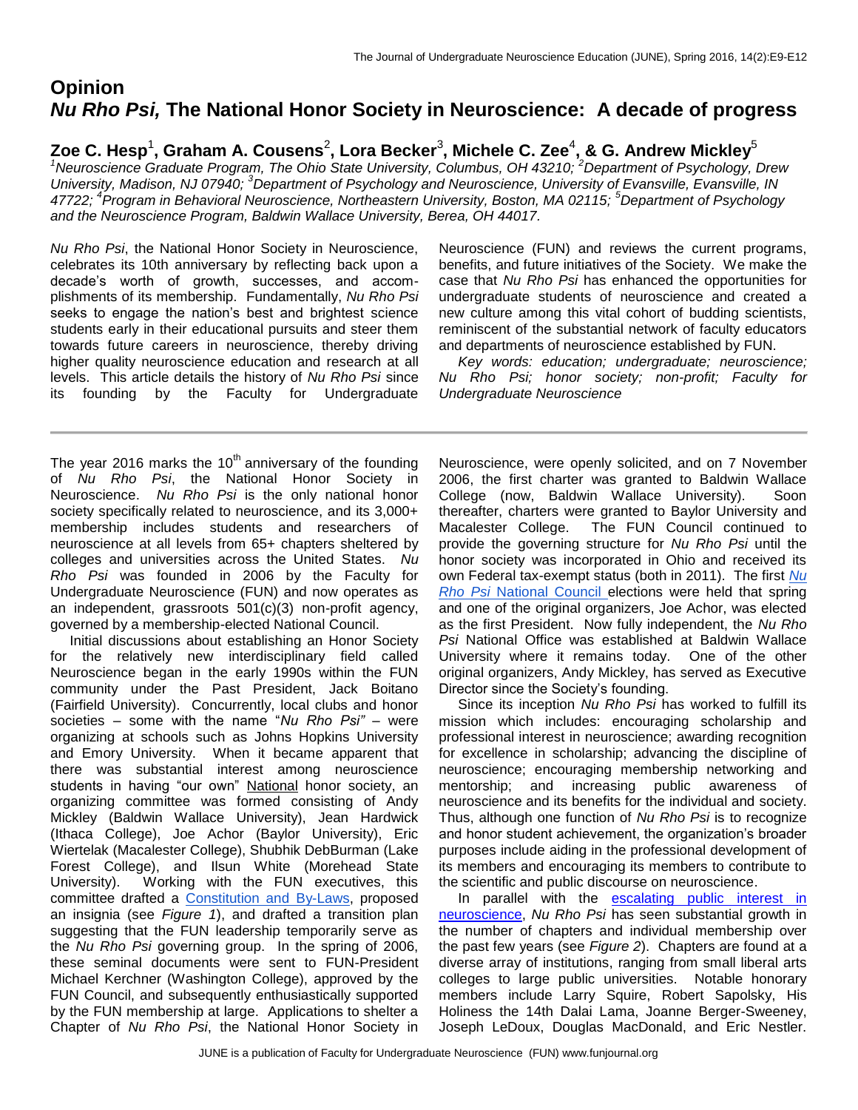# **Opinion** *Nu Rho Psi,* **The National Honor Society in Neuroscience: A decade of progress**

 $\boldsymbol{\mathsf{Zoe}}$  C. Hesp<sup>1</sup>, Graham A. Cousens<sup>2</sup>, Lora Becker $^3$ , Michele C. Zee $^4$ , & G. Andrew Mickley $^5$ 

<sup>1</sup>*Neuroscience Graduate Program, The Ohio State University, Columbus, OH 43210; <sup>2</sup>Department of Psychology, Drew University, Madison, NJ 07940; <sup>3</sup>Department of Psychology and Neuroscience, University of Evansville, Evansville, IN 47722; <sup>4</sup> Program in Behavioral Neuroscience, Northeastern University, Boston, MA 02115; <sup>5</sup>Department of Psychology and the Neuroscience Program, Baldwin Wallace University, Berea, OH 44017.*

*Nu Rho Psi*, the National Honor Society in Neuroscience, celebrates its 10th anniversary by reflecting back upon a decade's worth of growth, successes, and accomplishments of its membership. Fundamentally, *Nu Rho Psi*  seeks to engage the nation's best and brightest science students early in their educational pursuits and steer them towards future careers in neuroscience, thereby driving higher quality neuroscience education and research at all levels. This article details the history of *Nu Rho Psi* since its founding by the Faculty for Undergraduate Neuroscience (FUN) and reviews the current programs, benefits, and future initiatives of the Society. We make the case that *Nu Rho Psi* has enhanced the opportunities for undergraduate students of neuroscience and created a new culture among this vital cohort of budding scientists, reminiscent of the substantial network of faculty educators and departments of neuroscience established by FUN.

 *Key words: education; undergraduate; neuroscience; Nu Rho Psi; honor society; non-profit; Faculty for Undergraduate Neuroscience*

The year 2016 marks the  $10<sup>th</sup>$  anniversary of the founding of *Nu Rho Psi*, the National Honor Society in Neuroscience. *Nu Rho Psi* is the only national honor society specifically related to neuroscience, and its 3,000+ membership includes students and researchers of neuroscience at all levels from 65+ chapters sheltered by colleges and universities across the United States. *Nu Rho Psi* was founded in 2006 by the Faculty for Undergraduate Neuroscience (FUN) and now operates as an independent, grassroots 501(c)(3) non-profit agency, governed by a membership-elected National Council.

 Initial discussions about establishing an Honor Society for the relatively new interdisciplinary field called Neuroscience began in the early 1990s within the FUN community under the Past President, Jack Boitano (Fairfield University). Concurrently, local clubs and honor societies – some with the name "*Nu Rho Psi"* – were organizing at schools such as Johns Hopkins University and Emory University. When it became apparent that there was substantial interest among neuroscience students in having "our own" National honor society, an organizing committee was formed consisting of Andy Mickley (Baldwin Wallace University), Jean Hardwick (Ithaca College), Joe Achor (Baylor University), Eric Wiertelak (Macalester College), Shubhik DebBurman (Lake Forest College), and Ilsun White (Morehead State University). Working with the FUN executives, this committee drafted a [Constitution and](http://www.nurhopsi.org/drupal/sites/nurhopsi.org/files/webfiles/execfiles/New_Folder/Nu%20Rho%20Psi%20national%20constitution%20-%2027%20Nov%2015.pdf) By-Laws, proposed an insignia (see *Figure 1*), and drafted a transition plan suggesting that the FUN leadership temporarily serve as the *Nu Rho Psi* governing group. In the spring of 2006, these seminal documents were sent to FUN-President Michael Kerchner (Washington College), approved by the FUN Council, and subsequently enthusiastically supported by the FUN membership at large. Applications to shelter a Chapter of *Nu Rho Psi*, the National Honor Society in

Neuroscience, were openly solicited, and on 7 November 2006, the first charter was granted to Baldwin Wallace College (now, Baldwin Wallace University). Soon thereafter, charters were granted to Baylor University and Macalester College. The FUN Council continued to provide the governing structure for *Nu Rho Psi* until the honor society was incorporated in Ohio and received its own Federal tax-exempt status (both in 2011). The first *[Nu](http://www.nurhopsi.org/drupal/officers)  [Rho Psi](http://www.nurhopsi.org/drupal/officers)* [National Council e](http://www.nurhopsi.org/drupal/officers)lections were held that spring and one of the original organizers, Joe Achor, was elected as the first President. Now fully independent, the *Nu Rho Psi* National Office was established at Baldwin Wallace University where it remains today. One of the other original organizers, Andy Mickley, has served as Executive Director since the Society's founding.

 Since its inception *Nu Rho Psi* has worked to fulfill its mission which includes: encouraging scholarship and professional interest in neuroscience; awarding recognition for excellence in scholarship; advancing the discipline of neuroscience; encouraging membership networking and mentorship; and increasing public awareness of neuroscience and its benefits for the individual and society. Thus, although one function of *Nu Rho Psi* is to recognize and honor student achievement, the organization's broader purposes include aiding in the professional development of its members and encouraging its members to contribute to the scientific and public discourse on neuroscience.

In parallel with the escalating public interest in [neuroscience,](http://www.flipsnack.com/sfn14/society-for-neuroscience-2015-annual-report.html) *Nu Rho Psi* has seen substantial growth in the number of chapters and individual membership over the past few years (see *Figure 2*). Chapters are found at a diverse array of institutions, ranging from small liberal arts colleges to large public universities. Notable honorary members include Larry Squire, Robert Sapolsky, His Holiness the 14th Dalai Lama, Joanne Berger-Sweeney, Joseph LeDoux, Douglas MacDonald, and Eric Nestler.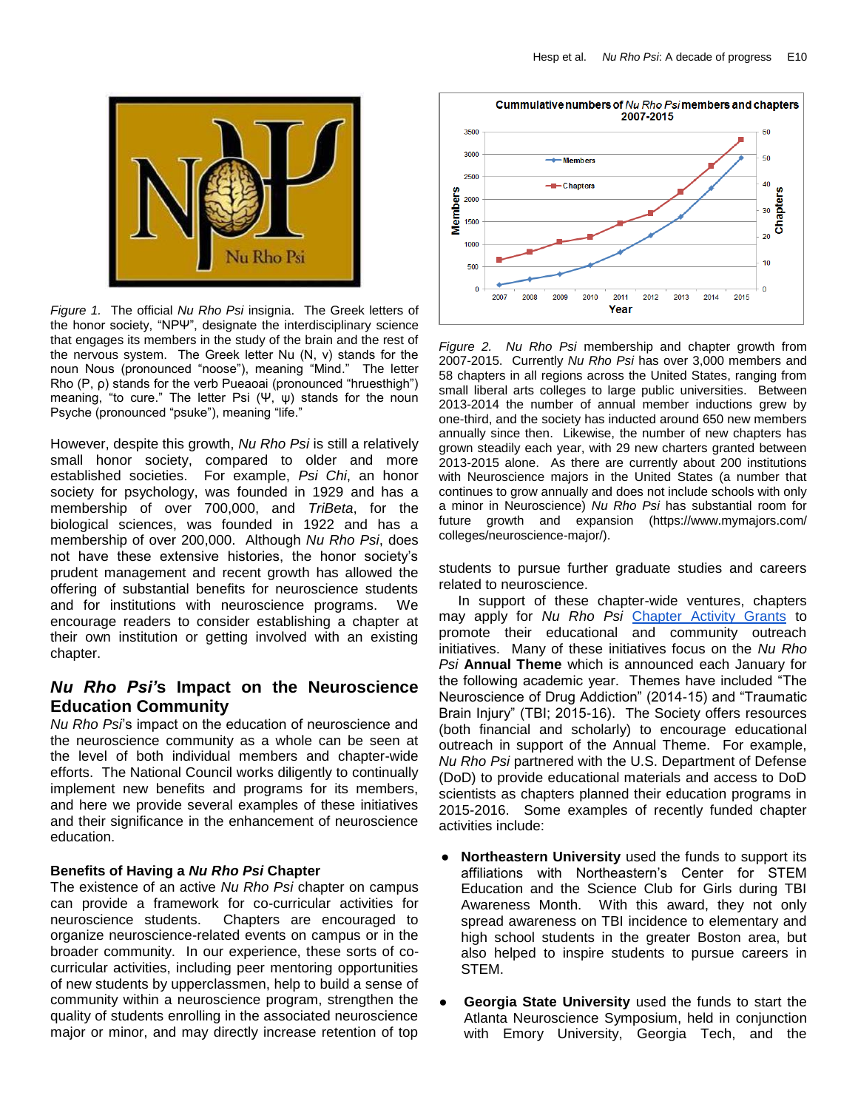

*Figure 1.* The official *Nu Rho Psi* insignia. The Greek letters of the honor society, "ΝΡΨ", designate the [interdisciplinary](https://en.wikipedia.org/wiki/Interdisciplinary) science that engages its members in the study of the brain and the rest of the [nervous system.](https://en.wikipedia.org/wiki/Nervous_system) The Greek letter Nu (Ν, ν) stands for the noun Nous (pronounced "noose"), meaning "Mind." The letter Rho (Ρ, ρ) stands for the verb Ρueaoai (pronounced "hruesthigh") meaning, "to cure." The letter Psi  $(\Psi, \psi)$  stands for the noun Psyche (pronounced "psuke"), meaning "life."

However, despite this growth, *Nu Rho Psi* is still a relatively small honor society, compared to older and more established societies. For example, *Psi Chi*, an honor society for psychology, was founded in 1929 and has a membership of over 700,000, and *TriBeta*, for the biological sciences, was founded in 1922 and has a membership of over 200,000. Although *Nu Rho Psi*, does not have these extensive histories, the honor society's prudent management and recent growth has allowed the offering of substantial benefits for neuroscience students and for institutions with neuroscience programs. We encourage readers to consider establishing a chapter at their own institution or getting involved with an existing chapter.

## *Nu Rho Psi'***s Impact on the Neuroscience Education Community**

*Nu Rho Psi*'s impact on the education of neuroscience and the neuroscience community as a whole can be seen at the level of both individual members and chapter-wide efforts. The National Council works diligently to continually implement new benefits and programs for its members, and here we provide several examples of these initiatives and their significance in the enhancement of neuroscience education.

#### **Benefits of Having a** *Nu Rho Psi* **Chapter**

The existence of an active *Nu Rho Psi* chapter on campus can provide a framework for co-curricular activities for neuroscience students.Chapters are encouraged to organize neuroscience-related events on campus or in the broader community. In our experience, these sorts of cocurricular activities, including peer mentoring opportunities of new students by upperclassmen, help to build a sense of community within a neuroscience program, strengthen the quality of students enrolling in the associated neuroscience major or minor, and may directly increase retention of top



*Figure 2. Nu Rho Psi* membership and chapter growth from 2007-2015. Currently *Nu Rho Psi* has over 3,000 members and 58 chapters in all regions across the United States, ranging from small liberal arts colleges to large public universities. Between 2013-2014 the number of annual member inductions grew by one-third, and the society has inducted around 650 new members annually since then. Likewise, the number of new chapters has grown steadily each year, with 29 new charters granted between 2013-2015 alone. As there are currently about 200 institutions with Neuroscience majors in the United States (a number that continues to grow annually and does not include schools with only a minor in Neuroscience) *Nu Rho Psi* has substantial room for future growth and expansion (https://www.mymajors.com/ colleges/neuroscience-major/).

students to pursue further graduate studies and careers related to neuroscience.

 In support of these chapter-wide ventures, chapters may apply for *Nu Rho Psi* [Chapter Activity Grants](http://www.nurhopsi.org/drupal/node/46) to promote their educational and community outreach initiatives. Many of these initiatives focus on the *Nu Rho Psi* **Annual Theme** which is announced each January for the following academic year. Themes have included "The Neuroscience of Drug Addiction" (2014-15) and "Traumatic Brain Injury" (TBI; 2015-16). The Society offers resources (both financial and scholarly) to encourage educational outreach in support of the Annual Theme. For example, *Nu Rho Psi* partnered with the U.S. Department of Defense (DoD) to provide educational materials and access to DoD scientists as chapters planned their education programs in 2015-2016. Some examples of recently funded chapter activities include:

- **Northeastern University** used the funds to support its affiliations with Northeastern's Center for STEM Education and the Science Club for Girls during TBI Awareness Month. With this award, they not only spread awareness on TBI incidence to elementary and high school students in the greater Boston area, but also helped to inspire students to pursue careers in STEM.
- **Georgia State University** used the funds to start the Atlanta Neuroscience Symposium, held in conjunction with Emory University, Georgia Tech, and the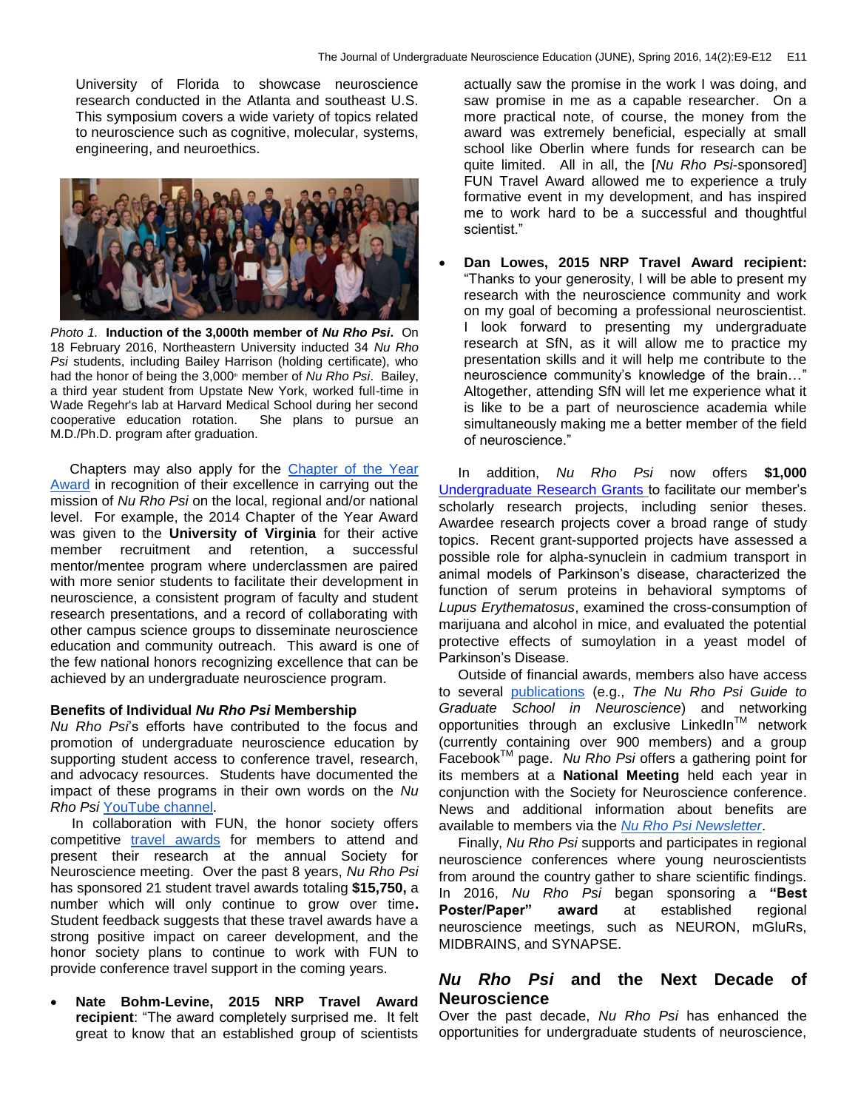University of Florida to showcase neuroscience research conducted in the Atlanta and southeast U.S. This symposium covers a wide variety of topics related to neuroscience such as cognitive, molecular, systems, engineering, and neuroethics.



*Photo 1.* **Induction of the 3,000th member of** *Nu Rho Psi***.** On 18 February 2016, Northeastern University inducted 34 *Nu Rho Psi* students, including Bailey Harrison (holding certificate), who had the honor of being the 3,000<sup>th</sup> member of *Nu Rho Psi*. Bailey, a third year student from Upstate New York, worked full-time in Wade Regehr's lab at Harvard Medical School during her second cooperative education rotation. She plans to pursue an M.D./Ph.D. program after graduation.

 Chapters may also apply for the [Chapter of the Year](http://www.nurhopsi.org/drupal/node/46)  [Award](http://www.nurhopsi.org/drupal/node/46) in recognition of their excellence in carrying out the mission of *Nu Rho Psi* on the local, regional and/or national level. For example, the 2014 Chapter of the Year Award was given to the **University of Virginia** for their active member recruitment and retention, a successful mentor/mentee program where underclassmen are paired with more senior students to facilitate their development in neuroscience, a consistent program of faculty and student research presentations, and a record of collaborating with other campus science groups to disseminate neuroscience education and community outreach. This award is one of the few national honors recognizing excellence that can be achieved by an undergraduate neuroscience program.

#### **Benefits of Individual** *Nu Rho Psi* **Membership**

*Nu Rho Psi*'s efforts have contributed to the focus and promotion of undergraduate neuroscience education by supporting student access to conference travel, research, and advocacy resources. Students have documented the impact of these programs in their own words on the *Nu Rho Psi* [YouTube channel.](https://www.youtube.com/channel/UCPPTVSXaEOhtU9evEefIPNQ)

 In collaboration with FUN, the honor society offers competitive [travel awards](http://www.funfaculty.org/drupal/FUNTravelAward) for members to attend and present their research at the annual Society for Neuroscience meeting. Over the past 8 years, *Nu Rho Psi* has sponsored 21 student travel awards totaling **\$15,750,** a number which will only continue to grow over time**.** Student feedback suggests that these travel awards have a strong positive impact on career development, and the honor society plans to continue to work with FUN to provide conference travel support in the coming years.

 **Nate Bohm-Levine, 2015 NRP Travel Award recipient**: "The award completely surprised me. It felt great to know that an established group of scientists actually saw the promise in the work I was doing, and saw promise in me as a capable researcher. On a more practical note, of course, the money from the award was extremely beneficial, especially at small school like Oberlin where funds for research can be quite limited. All in all, the [*Nu Rho Psi*-sponsored] FUN Travel Award allowed me to experience a truly formative event in my development, and has inspired me to work hard to be a successful and thoughtful scientist."

 **Dan Lowes, 2015 NRP Travel Award recipient:** "Thanks to your generosity, I will be able to present my research with the neuroscience community and work on my goal of becoming a professional neuroscientist. I look forward to presenting my undergraduate research at SfN, as it will allow me to practice my presentation skills and it will help me contribute to the neuroscience community's knowledge of the brain…" Altogether, attending SfN will let me experience what it is like to be a part of neuroscience academia while simultaneously making me a better member of the field of neuroscience."

 In addition, *Nu Rho Psi* now offers **\$1,000** [Undergraduate Research Grants](http://www.nurhopsi.org/drupal/node/46) to facilitate our member's scholarly research projects, including senior theses. Awardee research projects cover a broad range of study topics. Recent grant-supported projects have assessed a possible role for alpha-synuclein in cadmium transport in animal models of Parkinson's disease, characterized the function of serum proteins in behavioral symptoms of *Lupus Erythematosus*, examined the cross-consumption of marijuana and alcohol in mice, and evaluated the potential protective effects of sumoylation in a yeast model of Parkinson's Disease.

 Outside of financial awards, members also have access to several [publications](http://www.nurhopsi.org/drupal/newsletter) (e.g., *The Nu Rho Psi Guide to Graduate School in Neuroscience*) and networking opportunities through an exclusive LinkedIn<sup>™</sup> network (currently containing over 900 members) and a group FacebookTM page. *Nu Rho Psi* offers a gathering point for its members at a **National Meeting** held each year in conjunction with the Society for Neuroscience conference. News and additional information about benefits are available to members via the *[Nu Rho Psi Newsletter](http://www.nurhopsi.org/drupal/newsletter)*.

 Finally, *Nu Rho Psi* supports and participates in regional neuroscience conferences where young neuroscientists from around the country gather to share scientific findings. In 2016, *Nu Rho Psi* began sponsoring a **"Best Poster/Paper" award** at established regional neuroscience meetings, such as NEURON, mGluRs, MIDBRAINS, and SYNAPSE.

### *Nu Rho Psi* **and the Next Decade of Neuroscience**

Over the past decade, *Nu Rho Psi* has enhanced the opportunities for undergraduate students of neuroscience,